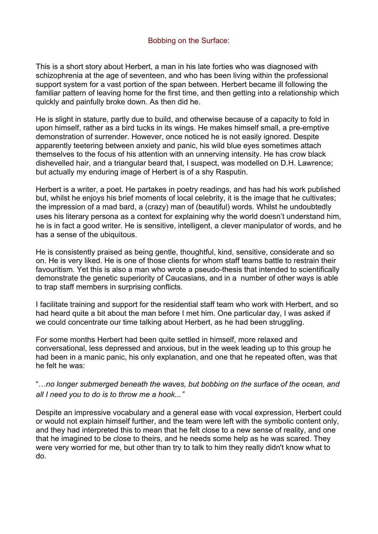## Bobbing on the Surface:

This is a short story about Herbert, a man in his late forties who was diagnosed with schizophrenia at the age of seventeen, and who has been living within the professional support system for a vast portion of the span between. Herbert became ill following the familiar pattern of leaving home for the first time, and then getting into a relationship which quickly and painfully broke down. As then did he.

He is slight in stature, partly due to build, and otherwise because of a capacity to fold in upon himself, rather as a bird tucks in its wings. He makes himself small, a pre-emptive demonstration of surrender. However, once noticed he is not easily ignored. Despite apparently teetering between anxiety and panic, his wild blue eyes sometimes attach themselves to the focus of his attention with an unnerving intensity. He has crow black dishevelled hair, and a triangular beard that, I suspect, was modelled on D.H. Lawrence; but actually my enduring image of Herbert is of a shy Rasputin.

Herbert is a writer, a poet. He partakes in poetry readings, and has had his work published but, whilst he enjoys his brief moments of local celebrity, it is the image that he cultivates; the impression of a mad bard, a (crazy) man of (beautiful) words. Whilst he undoubtedly uses his literary persona as a context for explaining why the world doesn't understand him, he is in fact a good writer. He is sensitive, intelligent, a clever manipulator of words, and he has a sense of the ubiquitous.

He is consistently praised as being gentle, thoughtful, kind, sensitive, considerate and so on. He is very liked. He is one of those clients for whom staff teams battle to restrain their favouritism. Yet this is also a man who wrote a pseudo-thesis that intended to scientifically demonstrate the genetic superiority of Caucasians, and in a number of other ways is able to trap staff members in surprising conflicts.

I facilitate training and support for the residential staff team who work with Herbert, and so had heard quite a bit about the man before I met him. One particular day, I was asked if we could concentrate our time talking about Herbert, as he had been struggling.

For some months Herbert had been quite settled in himself, more relaxed and conversational, less depressed and anxious, but in the week leading up to this group he had been in a manic panic, his only explanation, and one that he repeated often, was that he felt he was:

"…*no longer submerged beneath the waves, but bobbing on the surface of the ocean, and all I need you to do is to throw me a hook...*"

Despite an impressive vocabulary and a general ease with vocal expression, Herbert could or would not explain himself further, and the team were left with the symbolic content only, and they had interpreted this to mean that he felt close to a new sense of reality, and one that he imagined to be close to theirs, and he needs some help as he was scared. They were very worried for me, but other than try to talk to him they really didn't know what to do.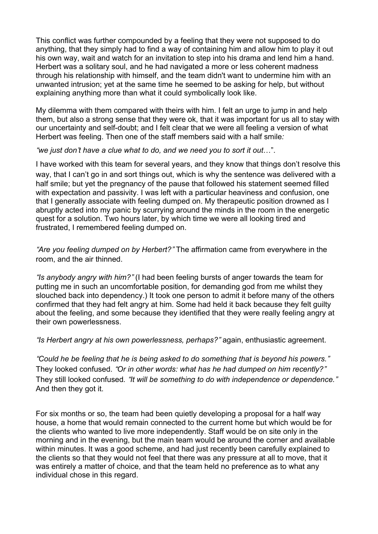This conflict was further compounded by a feeling that they were not supposed to do anything, that they simply had to find a way of containing him and allow him to play it out his own way, wait and watch for an invitation to step into his drama and lend him a hand. Herbert was a solitary soul, and he had navigated a more or less coherent madness through his relationship with himself, and the team didn't want to undermine him with an unwanted intrusion; yet at the same time he seemed to be asking for help, but without explaining anything more than what it could symbolically look like.

My dilemma with them compared with theirs with him. I felt an urge to jump in and help them, but also a strong sense that they were ok, that it was important for us all to stay with our uncertainty and self-doubt; and I felt clear that we were all feeling a version of what Herbert was feeling. Then one of the staff members said with a half smile*:*

"*we just don*'*t have a clue what to do, and we need you to sort it out*…".

I have worked with this team for several years, and they know that things don't resolve this way, that I can't go in and sort things out, which is why the sentence was delivered with a half smile; but yet the pregnancy of the pause that followed his statement seemed filled with expectation and passivity. I was left with a particular heaviness and confusion, one that I generally associate with feeling dumped on. My therapeutic position drowned as I abruptly acted into my panic by scurrying around the minds in the room in the energetic quest for a solution. Two hours later, by which time we were all looking tired and frustrated, I remembered feeling dumped on.

"*Are you feeling dumped on by Herbert?*" The affirmation came from everywhere in the room, and the air thinned.

"*Is anybody angry with him?*" (I had been feeling bursts of anger towards the team for putting me in such an uncomfortable position, for demanding god from me whilst they slouched back into dependency.) It took one person to admit it before many of the others confirmed that they had felt angry at him. Some had held it back because they felt guilty about the feeling, and some because they identified that they were really feeling angry at their own powerlessness.

"*Is Herbert angry at his own powerlessness, perhaps?*" again, enthusiastic agreement.

"*Could he be feeling that he is being asked to do something that is beyond his powers.*" They looked confused. "*Or in other words: what has he had dumped on him recently?*" They still looked confused*.* "*It will be something to do with independence or dependence.*" And then they got it.

For six months or so, the team had been quietly developing a proposal for a half way house, a home that would remain connected to the current home but which would be for the clients who wanted to live more independently. Staff would be on site only in the morning and in the evening, but the main team would be around the corner and available within minutes. It was a good scheme, and had just recently been carefully explained to the clients so that they would not feel that there was any pressure at all to move, that it was entirely a matter of choice, and that the team held no preference as to what any individual chose in this regard.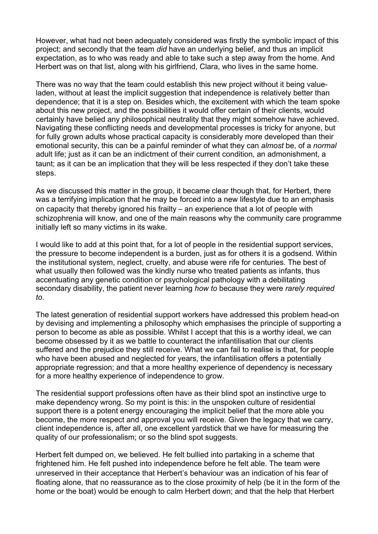However, what had not been adequately considered was firstly the symbolic impact of this project; and secondly that the team *did* have an underlying belief, and thus an implicit expectation, as to who was ready and able to take such a step away from the home. And Herbert was on that list, along with his girlfriend, Clara, who lives in the same home.

There was no way that the team could establish this new project without it being valueladen, without at least the implicit suggestion that independence is relatively better than dependence; that it is a step on. Besides which, the excitement with which the team spoke about this new project, and the possibilities it would offer certain of their clients, would certainly have belied any philosophical neutrality that they might somehow have achieved. Navigating these conflicting needs and developmental processes is tricky for anyone, but for fully grown adults whose practical capacity is considerably more developed than their emotional security, this can be a painful reminder of what they can *almost* be, of a *normal* adult life; just as it can be an indictment of their current condition, an admonishment, a taunt; as it can be an implication that they will be less respected if they don't take these steps.

As we discussed this matter in the group, it became clear though that, for Herbert, there was a terrifying implication that he may be forced into a new lifestyle due to an emphasis on capacity that thereby ignored his frailty – an experience that a lot of people with schizophrenia will know, and one of the main reasons why the community care programme initially left so many victims in its wake.

I would like to add at this point that, for a lot of people in the residential support services, the pressure to become independent is a burden, just as for others it is a godsend. Within the institutional system, neglect, cruelty, and abuse were rife for centuries. The best of what usually then followed was the kindly nurse who treated patients as infants, thus accentuating any genetic condition or psychological pathology with a debilitating secondary disability, the patient never learning *how to* because they were *rarely required to*.

The latest generation of residential support workers have addressed this problem head-on by devising and implementing a philosophy which emphasises the principle of supporting a person to become as able as possible. Whilst I accept that this is a worthy ideal, we can become obsessed by it as we battle to counteract the infantilisation that our clients suffered and the prejudice they still receive. What we can fail to realise is that, for people who have been abused and neglected for years, the infantilisation offers a potentially appropriate regression; and that a more healthy experience of dependency is necessary for a more healthy experience of independence to grow.

The residential support professions often have as their blind spot an instinctive urge to make dependency wrong. So my point is this: in the unspoken culture of residential support there is a potent energy encouraging the implicit belief that the more able you become, the more respect and approval you will receive. Given the legacy that we carry, client independence is, after all, one excellent yardstick that we have for measuring the quality of our professionalism; or so the blind spot suggests.

Herbert felt dumped on, we believed. He felt bullied into partaking in a scheme that frightened him. He felt pushed into independence before he felt able. The team were unreserved in their acceptance that Herbert's behaviour was an indication of his fear of floating alone, that no reassurance as to the close proximity of help (be it in the form of the home or the boat) would be enough to calm Herbert down; and that the help that Herbert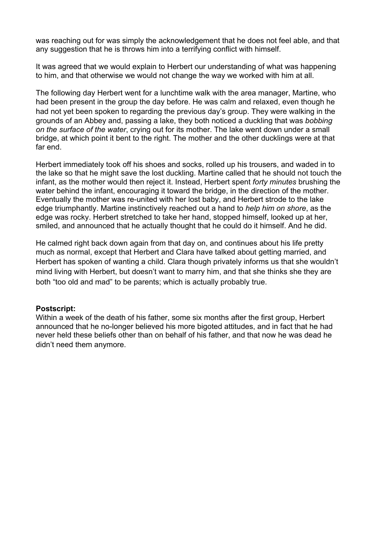was reaching out for was simply the acknowledgement that he does not feel able, and that any suggestion that he is throws him into a terrifying conflict with himself.

It was agreed that we would explain to Herbert our understanding of what was happening to him, and that otherwise we would not change the way we worked with him at all.

The following day Herbert went for a lunchtime walk with the area manager, Martine, who had been present in the group the day before. He was calm and relaxed, even though he had not yet been spoken to regarding the previous day's group. They were walking in the grounds of an Abbey and, passing a lake, they both noticed a duckling that was *bobbing on the surface of the water*, crying out for its mother. The lake went down under a small bridge, at which point it bent to the right. The mother and the other ducklings were at that far end.

Herbert immediately took off his shoes and socks, rolled up his trousers, and waded in to the lake so that he might save the lost duckling. Martine called that he should not touch the infant, as the mother would then reject it. Instead, Herbert spent *forty minutes* brushing the water behind the infant, encouraging it toward the bridge, in the direction of the mother. Eventually the mother was re-united with her lost baby, and Herbert strode to the lake edge triumphantly. Martine instinctively reached out a hand to *help him on shore*, as the edge was rocky. Herbert stretched to take her hand, stopped himself, looked up at her, smiled, and announced that he actually thought that he could do it himself. And he did.

He calmed right back down again from that day on, and continues about his life pretty much as normal, except that Herbert and Clara have talked about getting married, and Herbert has spoken of wanting a child. Clara though privately informs us that she wouldn't mind living with Herbert, but doesn't want to marry him, and that she thinks she they are both "too old and mad" to be parents; which is actually probably true.

## **Postscript:**

Within a week of the death of his father, some six months after the first group, Herbert announced that he no-longer believed his more bigoted attitudes, and in fact that he had never held these beliefs other than on behalf of his father, and that now he was dead he didn't need them anymore.